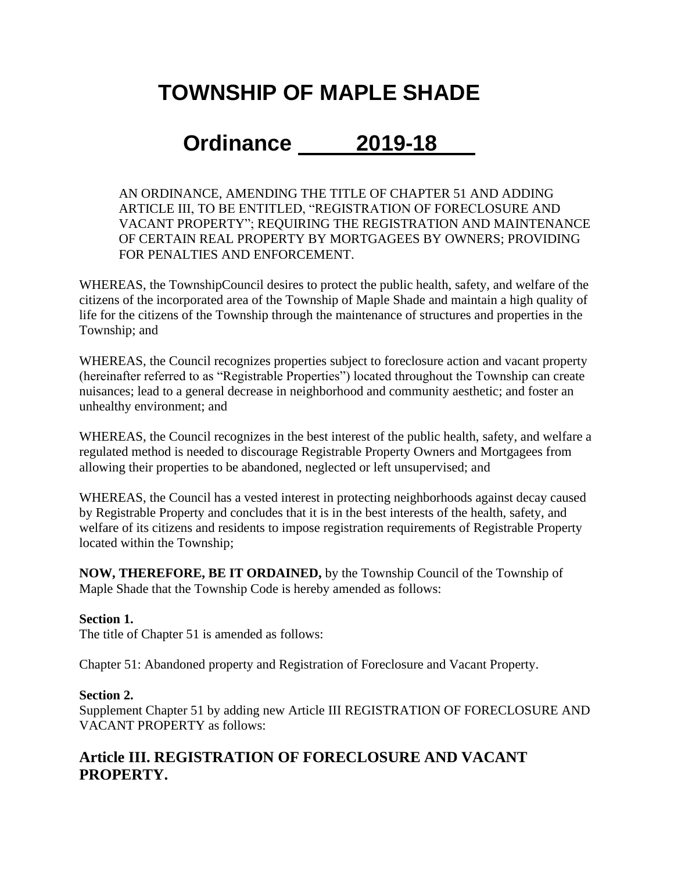# **TOWNSHIP OF MAPLE SHADE**

## **Ordinance 2019-18**

AN ORDINANCE, AMENDING THE TITLE OF CHAPTER 51 AND ADDING ARTICLE III, TO BE ENTITLED, "REGISTRATION OF FORECLOSURE AND VACANT PROPERTY"; REQUIRING THE REGISTRATION AND MAINTENANCE OF CERTAIN REAL PROPERTY BY MORTGAGEES BY OWNERS; PROVIDING FOR PENALTIES AND ENFORCEMENT.

WHEREAS, the TownshipCouncil desires to protect the public health, safety, and welfare of the citizens of the incorporated area of the Township of Maple Shade and maintain a high quality of life for the citizens of the Township through the maintenance of structures and properties in the Township; and

WHEREAS, the Council recognizes properties subject to foreclosure action and vacant property (hereinafter referred to as "Registrable Properties") located throughout the Township can create nuisances; lead to a general decrease in neighborhood and community aesthetic; and foster an unhealthy environment; and

WHEREAS, the Council recognizes in the best interest of the public health, safety, and welfare a regulated method is needed to discourage Registrable Property Owners and Mortgagees from allowing their properties to be abandoned, neglected or left unsupervised; and

WHEREAS, the Council has a vested interest in protecting neighborhoods against decay caused by Registrable Property and concludes that it is in the best interests of the health, safety, and welfare of its citizens and residents to impose registration requirements of Registrable Property located within the Township;

**NOW, THEREFORE, BE IT ORDAINED,** by the Township Council of the Township of Maple Shade that the Township Code is hereby amended as follows:

#### **Section 1.**

The title of Chapter 51 is amended as follows:

Chapter 51: Abandoned property and Registration of Foreclosure and Vacant Property.

#### **Section 2.**

Supplement Chapter 51 by adding new Article III REGISTRATION OF FORECLOSURE AND VACANT PROPERTY as follows:

## **Article III. REGISTRATION OF FORECLOSURE AND VACANT PROPERTY.**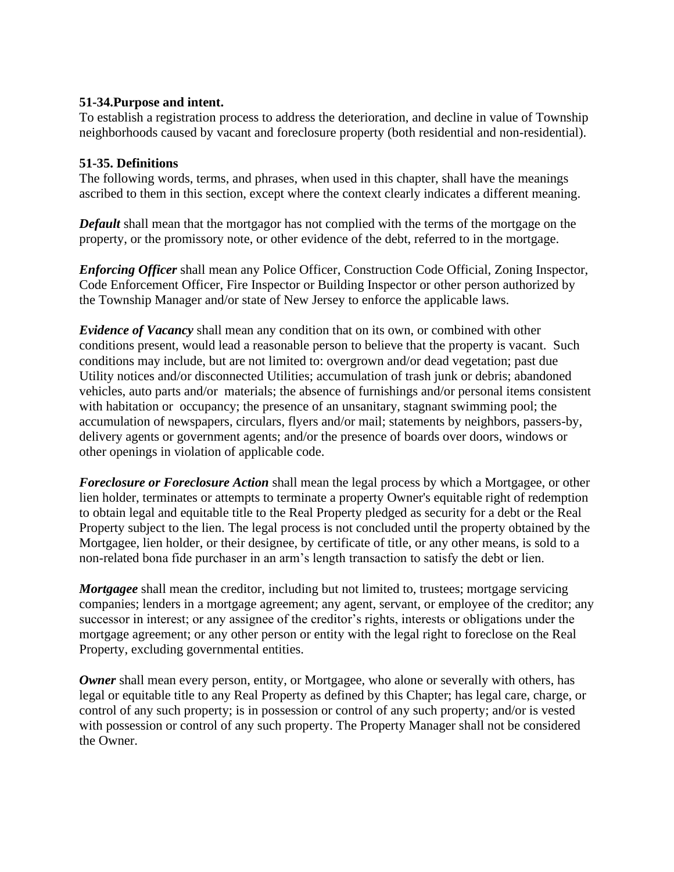#### **51-34.Purpose and intent.**

To establish a registration process to address the deterioration, and decline in value of Township neighborhoods caused by vacant and foreclosure property (both residential and non-residential).

#### **51-35. Definitions**

The following words, terms, and phrases, when used in this chapter, shall have the meanings ascribed to them in this section, except where the context clearly indicates a different meaning.

*Default* shall mean that the mortgagor has not complied with the terms of the mortgage on the property, or the promissory note, or other evidence of the debt, referred to in the mortgage.

*Enforcing Officer* shall mean any Police Officer, Construction Code Official, Zoning Inspector, Code Enforcement Officer, Fire Inspector or Building Inspector or other person authorized by the Township Manager and/or state of New Jersey to enforce the applicable laws.

*Evidence of Vacancy* shall mean any condition that on its own, or combined with other conditions present, would lead a reasonable person to believe that the property is vacant. Such conditions may include, but are not limited to: overgrown and/or dead vegetation; past due Utility notices and/or disconnected Utilities; accumulation of trash junk or debris; abandoned vehicles, auto parts and/or materials; the absence of furnishings and/or personal items consistent with habitation or occupancy; the presence of an unsanitary, stagnant swimming pool; the accumulation of newspapers, circulars, flyers and/or mail; statements by neighbors, passers-by, delivery agents or government agents; and/or the presence of boards over doors, windows or other openings in violation of applicable code.

*Foreclosure or Foreclosure Action* shall mean the legal process by which a Mortgagee, or other lien holder, terminates or attempts to terminate a property Owner's equitable right of redemption to obtain legal and equitable title to the Real Property pledged as security for a debt or the Real Property subject to the lien. The legal process is not concluded until the property obtained by the Mortgagee, lien holder, or their designee, by certificate of title, or any other means, is sold to a non-related bona fide purchaser in an arm's length transaction to satisfy the debt or lien.

*Mortgagee* shall mean the creditor, including but not limited to, trustees; mortgage servicing companies; lenders in a mortgage agreement; any agent, servant, or employee of the creditor; any successor in interest; or any assignee of the creditor's rights, interests or obligations under the mortgage agreement; or any other person or entity with the legal right to foreclose on the Real Property, excluding governmental entities.

*Owner* shall mean every person, entity, or Mortgagee, who alone or severally with others, has legal or equitable title to any Real Property as defined by this Chapter; has legal care, charge, or control of any such property; is in possession or control of any such property; and/or is vested with possession or control of any such property. The Property Manager shall not be considered the Owner.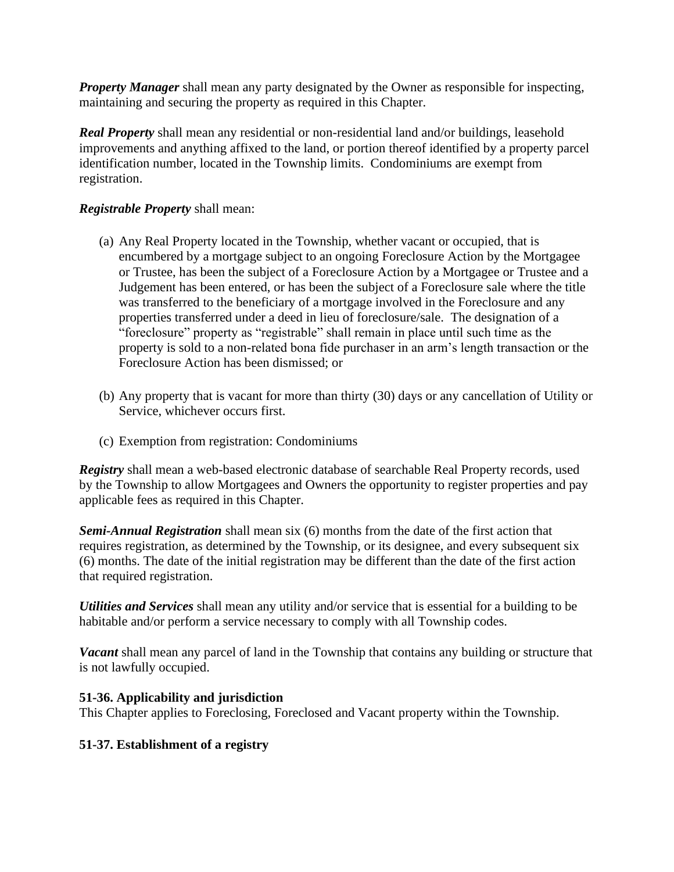*Property Manager* shall mean any party designated by the Owner as responsible for inspecting, maintaining and securing the property as required in this Chapter.

*Real Property* shall mean any residential or non-residential land and/or buildings, leasehold improvements and anything affixed to the land, or portion thereof identified by a property parcel identification number, located in the Township limits. Condominiums are exempt from registration.

#### *Registrable Property* shall mean:

- (a) Any Real Property located in the Township, whether vacant or occupied, that is encumbered by a mortgage subject to an ongoing Foreclosure Action by the Mortgagee or Trustee, has been the subject of a Foreclosure Action by a Mortgagee or Trustee and a Judgement has been entered, or has been the subject of a Foreclosure sale where the title was transferred to the beneficiary of a mortgage involved in the Foreclosure and any properties transferred under a deed in lieu of foreclosure/sale. The designation of a "foreclosure" property as "registrable" shall remain in place until such time as the property is sold to a non-related bona fide purchaser in an arm's length transaction or the Foreclosure Action has been dismissed; or
- (b) Any property that is vacant for more than thirty (30) days or any cancellation of Utility or Service, whichever occurs first.
- (c) Exemption from registration: Condominiums

*Registry* shall mean a web-based electronic database of searchable Real Property records, used by the Township to allow Mortgagees and Owners the opportunity to register properties and pay applicable fees as required in this Chapter.

*Semi-Annual Registration* shall mean six (6) months from the date of the first action that requires registration, as determined by the Township, or its designee, and every subsequent six (6) months. The date of the initial registration may be different than the date of the first action that required registration.

*Utilities and Services* shall mean any utility and/or service that is essential for a building to be habitable and/or perform a service necessary to comply with all Township codes.

*Vacant* shall mean any parcel of land in the Township that contains any building or structure that is not lawfully occupied.

#### **51-36. Applicability and jurisdiction**

This Chapter applies to Foreclosing, Foreclosed and Vacant property within the Township.

#### **51-37. Establishment of a registry**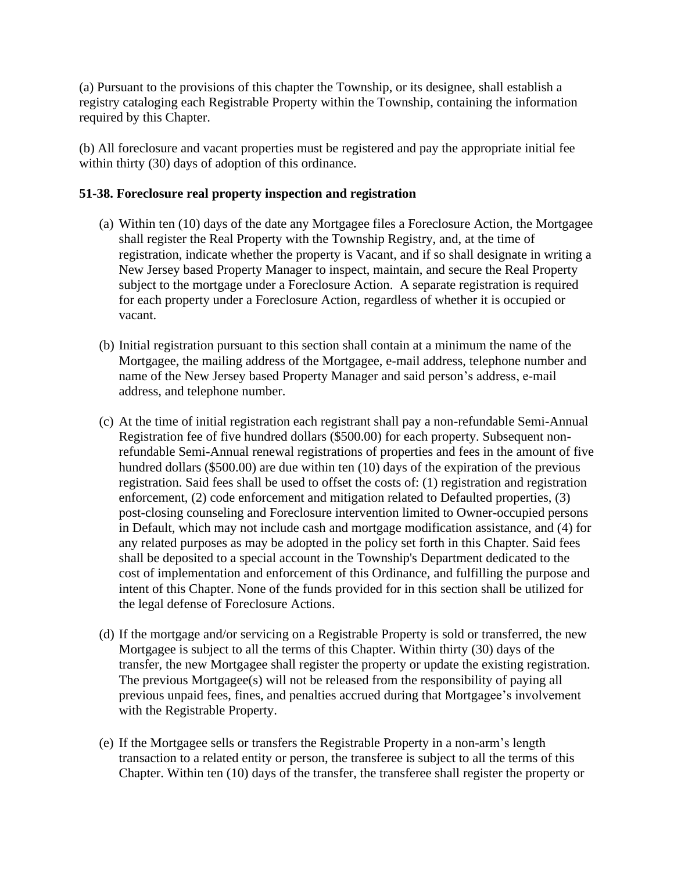(a) Pursuant to the provisions of this chapter the Township, or its designee, shall establish a registry cataloging each Registrable Property within the Township, containing the information required by this Chapter.

(b) All foreclosure and vacant properties must be registered and pay the appropriate initial fee within thirty (30) days of adoption of this ordinance.

#### **51-38. Foreclosure real property inspection and registration**

- (a) Within ten (10) days of the date any Mortgagee files a Foreclosure Action, the Mortgagee shall register the Real Property with the Township Registry, and, at the time of registration, indicate whether the property is Vacant, and if so shall designate in writing a New Jersey based Property Manager to inspect, maintain, and secure the Real Property subject to the mortgage under a Foreclosure Action. A separate registration is required for each property under a Foreclosure Action, regardless of whether it is occupied or vacant.
- (b) Initial registration pursuant to this section shall contain at a minimum the name of the Mortgagee, the mailing address of the Mortgagee, e-mail address, telephone number and name of the New Jersey based Property Manager and said person's address, e-mail address, and telephone number.
- (c) At the time of initial registration each registrant shall pay a non-refundable Semi-Annual Registration fee of five hundred dollars (\$500.00) for each property. Subsequent nonrefundable Semi-Annual renewal registrations of properties and fees in the amount of five hundred dollars (\$500.00) are due within ten (10) days of the expiration of the previous registration. Said fees shall be used to offset the costs of: (1) registration and registration enforcement, (2) code enforcement and mitigation related to Defaulted properties, (3) post-closing counseling and Foreclosure intervention limited to Owner-occupied persons in Default, which may not include cash and mortgage modification assistance, and (4) for any related purposes as may be adopted in the policy set forth in this Chapter. Said fees shall be deposited to a special account in the Township's Department dedicated to the cost of implementation and enforcement of this Ordinance, and fulfilling the purpose and intent of this Chapter. None of the funds provided for in this section shall be utilized for the legal defense of Foreclosure Actions.
- (d) If the mortgage and/or servicing on a Registrable Property is sold or transferred, the new Mortgagee is subject to all the terms of this Chapter. Within thirty (30) days of the transfer, the new Mortgagee shall register the property or update the existing registration. The previous Mortgagee(s) will not be released from the responsibility of paying all previous unpaid fees, fines, and penalties accrued during that Mortgagee's involvement with the Registrable Property.
- (e) If the Mortgagee sells or transfers the Registrable Property in a non-arm's length transaction to a related entity or person, the transferee is subject to all the terms of this Chapter. Within ten (10) days of the transfer, the transferee shall register the property or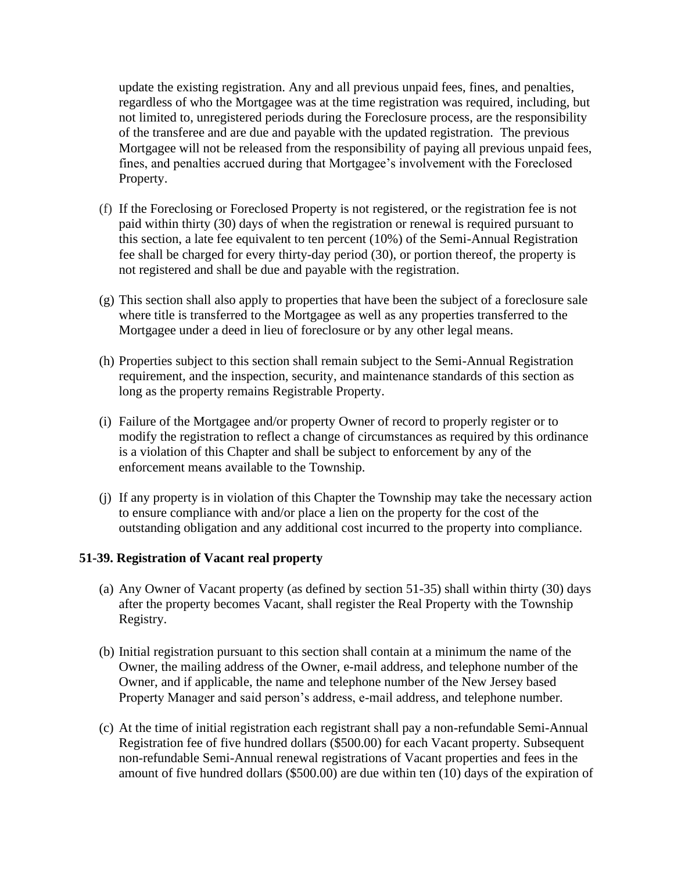update the existing registration. Any and all previous unpaid fees, fines, and penalties, regardless of who the Mortgagee was at the time registration was required, including, but not limited to, unregistered periods during the Foreclosure process, are the responsibility of the transferee and are due and payable with the updated registration. The previous Mortgagee will not be released from the responsibility of paying all previous unpaid fees, fines, and penalties accrued during that Mortgagee's involvement with the Foreclosed Property.

- (f) If the Foreclosing or Foreclosed Property is not registered, or the registration fee is not paid within thirty (30) days of when the registration or renewal is required pursuant to this section, a late fee equivalent to ten percent (10%) of the Semi-Annual Registration fee shall be charged for every thirty-day period (30), or portion thereof, the property is not registered and shall be due and payable with the registration.
- (g) This section shall also apply to properties that have been the subject of a foreclosure sale where title is transferred to the Mortgagee as well as any properties transferred to the Mortgagee under a deed in lieu of foreclosure or by any other legal means.
- (h) Properties subject to this section shall remain subject to the Semi-Annual Registration requirement, and the inspection, security, and maintenance standards of this section as long as the property remains Registrable Property.
- (i) Failure of the Mortgagee and/or property Owner of record to properly register or to modify the registration to reflect a change of circumstances as required by this ordinance is a violation of this Chapter and shall be subject to enforcement by any of the enforcement means available to the Township.
- (j) If any property is in violation of this Chapter the Township may take the necessary action to ensure compliance with and/or place a lien on the property for the cost of the outstanding obligation and any additional cost incurred to the property into compliance.

#### **51-39. Registration of Vacant real property**

- (a) Any Owner of Vacant property (as defined by section 51-35) shall within thirty (30) days after the property becomes Vacant, shall register the Real Property with the Township Registry.
- (b) Initial registration pursuant to this section shall contain at a minimum the name of the Owner, the mailing address of the Owner, e-mail address, and telephone number of the Owner, and if applicable, the name and telephone number of the New Jersey based Property Manager and said person's address, e-mail address, and telephone number.
- (c) At the time of initial registration each registrant shall pay a non-refundable Semi-Annual Registration fee of five hundred dollars (\$500.00) for each Vacant property. Subsequent non-refundable Semi-Annual renewal registrations of Vacant properties and fees in the amount of five hundred dollars (\$500.00) are due within ten (10) days of the expiration of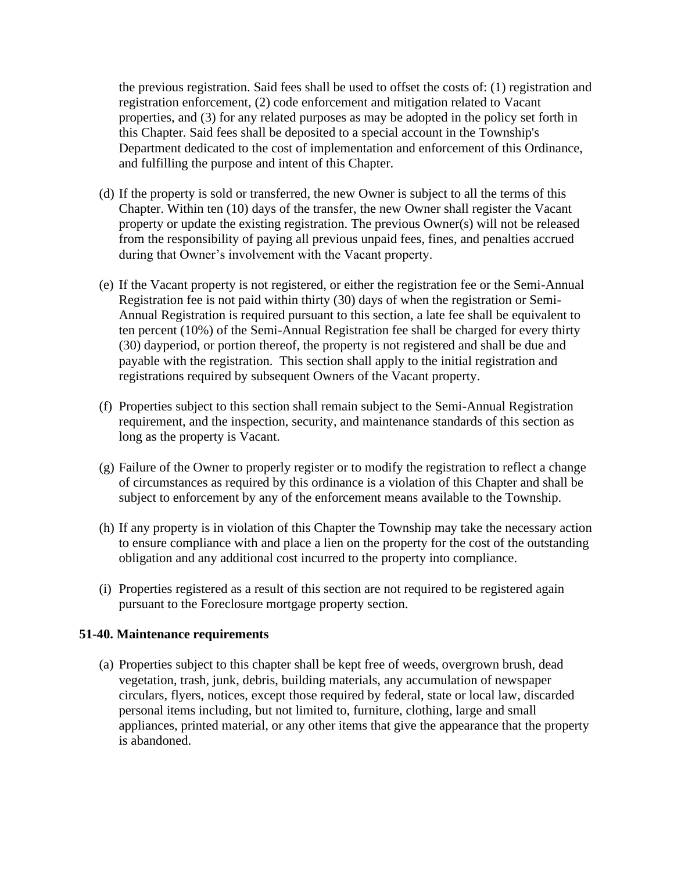the previous registration. Said fees shall be used to offset the costs of: (1) registration and registration enforcement, (2) code enforcement and mitigation related to Vacant properties, and (3) for any related purposes as may be adopted in the policy set forth in this Chapter. Said fees shall be deposited to a special account in the Township's Department dedicated to the cost of implementation and enforcement of this Ordinance, and fulfilling the purpose and intent of this Chapter.

- (d) If the property is sold or transferred, the new Owner is subject to all the terms of this Chapter. Within ten (10) days of the transfer, the new Owner shall register the Vacant property or update the existing registration. The previous Owner(s) will not be released from the responsibility of paying all previous unpaid fees, fines, and penalties accrued during that Owner's involvement with the Vacant property.
- (e) If the Vacant property is not registered, or either the registration fee or the Semi-Annual Registration fee is not paid within thirty (30) days of when the registration or Semi-Annual Registration is required pursuant to this section, a late fee shall be equivalent to ten percent (10%) of the Semi-Annual Registration fee shall be charged for every thirty (30) dayperiod, or portion thereof, the property is not registered and shall be due and payable with the registration. This section shall apply to the initial registration and registrations required by subsequent Owners of the Vacant property.
- (f) Properties subject to this section shall remain subject to the Semi-Annual Registration requirement, and the inspection, security, and maintenance standards of this section as long as the property is Vacant.
- (g) Failure of the Owner to properly register or to modify the registration to reflect a change of circumstances as required by this ordinance is a violation of this Chapter and shall be subject to enforcement by any of the enforcement means available to the Township.
- (h) If any property is in violation of this Chapter the Township may take the necessary action to ensure compliance with and place a lien on the property for the cost of the outstanding obligation and any additional cost incurred to the property into compliance.
- (i) Properties registered as a result of this section are not required to be registered again pursuant to the Foreclosure mortgage property section.

#### **51-40. Maintenance requirements**

(a) Properties subject to this chapter shall be kept free of weeds, overgrown brush, dead vegetation, trash, junk, debris, building materials, any accumulation of newspaper circulars, flyers, notices, except those required by federal, state or local law, discarded personal items including, but not limited to, furniture, clothing, large and small appliances, printed material, or any other items that give the appearance that the property is abandoned.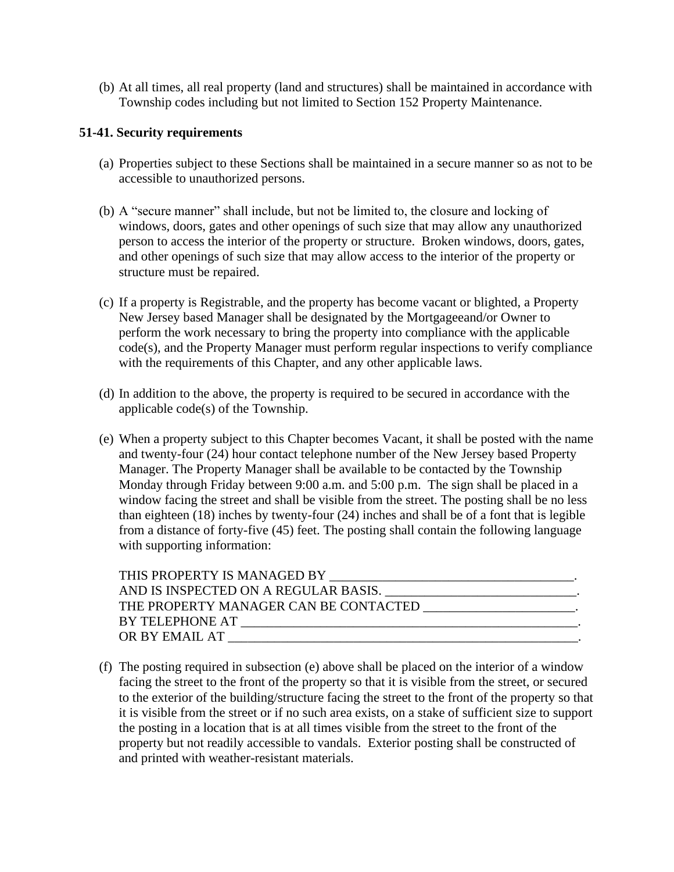(b) At all times, all real property (land and structures) shall be maintained in accordance with Township codes including but not limited to Section 152 Property Maintenance.

#### **51-41. Security requirements**

- (a) Properties subject to these Sections shall be maintained in a secure manner so as not to be accessible to unauthorized persons.
- (b) A "secure manner" shall include, but not be limited to, the closure and locking of windows, doors, gates and other openings of such size that may allow any unauthorized person to access the interior of the property or structure. Broken windows, doors, gates, and other openings of such size that may allow access to the interior of the property or structure must be repaired.
- (c) If a property is Registrable, and the property has become vacant or blighted, a Property New Jersey based Manager shall be designated by the Mortgageeand/or Owner to perform the work necessary to bring the property into compliance with the applicable code(s), and the Property Manager must perform regular inspections to verify compliance with the requirements of this Chapter, and any other applicable laws.
- (d) In addition to the above, the property is required to be secured in accordance with the applicable code(s) of the Township.
- (e) When a property subject to this Chapter becomes Vacant, it shall be posted with the name and twenty-four (24) hour contact telephone number of the New Jersey based Property Manager. The Property Manager shall be available to be contacted by the Township Monday through Friday between 9:00 a.m. and 5:00 p.m. The sign shall be placed in a window facing the street and shall be visible from the street. The posting shall be no less than eighteen (18) inches by twenty-four (24) inches and shall be of a font that is legible from a distance of forty-five (45) feet. The posting shall contain the following language with supporting information:

| THIS PROPERTY IS MANAGED BY                                       |  |
|-------------------------------------------------------------------|--|
|                                                                   |  |
| THE PROPERTY MANAGER CAN BE CONTACTED __________________________. |  |
| BY TELEPHONE AT                                                   |  |
| OR BY EMAIL AT                                                    |  |

(f) The posting required in subsection (e) above shall be placed on the interior of a window facing the street to the front of the property so that it is visible from the street, or secured to the exterior of the building/structure facing the street to the front of the property so that it is visible from the street or if no such area exists, on a stake of sufficient size to support the posting in a location that is at all times visible from the street to the front of the property but not readily accessible to vandals. Exterior posting shall be constructed of and printed with weather-resistant materials.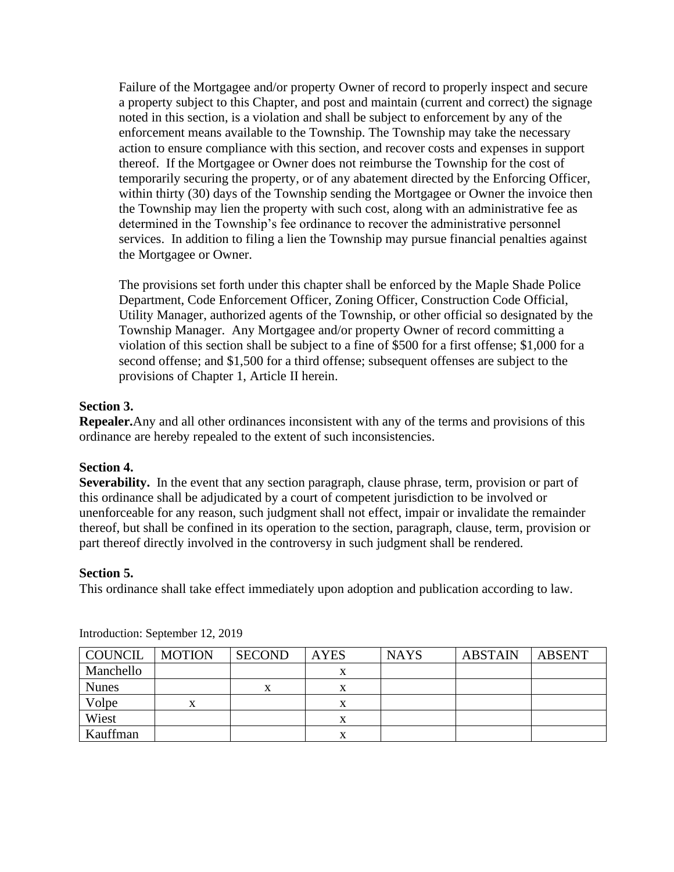Failure of the Mortgagee and/or property Owner of record to properly inspect and secure a property subject to this Chapter, and post and maintain (current and correct) the signage noted in this section, is a violation and shall be subject to enforcement by any of the enforcement means available to the Township. The Township may take the necessary action to ensure compliance with this section, and recover costs and expenses in support thereof. If the Mortgagee or Owner does not reimburse the Township for the cost of temporarily securing the property, or of any abatement directed by the Enforcing Officer, within thirty (30) days of the Township sending the Mortgagee or Owner the invoice then the Township may lien the property with such cost, along with an administrative fee as determined in the Township's fee ordinance to recover the administrative personnel services. In addition to filing a lien the Township may pursue financial penalties against the Mortgagee or Owner.

The provisions set forth under this chapter shall be enforced by the Maple Shade Police Department, Code Enforcement Officer, Zoning Officer, Construction Code Official, Utility Manager, authorized agents of the Township, or other official so designated by the Township Manager. Any Mortgagee and/or property Owner of record committing a violation of this section shall be subject to a fine of \$500 for a first offense; \$1,000 for a second offense; and \$1,500 for a third offense; subsequent offenses are subject to the provisions of Chapter 1, Article II herein.

#### **Section 3.**

**Repealer.**Any and all other ordinances inconsistent with any of the terms and provisions of this ordinance are hereby repealed to the extent of such inconsistencies.

#### **Section 4.**

**Severability.** In the event that any section paragraph, clause phrase, term, provision or part of this ordinance shall be adjudicated by a court of competent jurisdiction to be involved or unenforceable for any reason, such judgment shall not effect, impair or invalidate the remainder thereof, but shall be confined in its operation to the section, paragraph, clause, term, provision or part thereof directly involved in the controversy in such judgment shall be rendered.

#### **Section 5.**

This ordinance shall take effect immediately upon adoption and publication according to law.

| COUNCIL      | <b>MOTION</b> | <b>SECOND</b> | <b>AYES</b> | <b>NAYS</b> | <b>ABSTAIN</b> | <b>ABSENT</b> |
|--------------|---------------|---------------|-------------|-------------|----------------|---------------|
| Manchello    |               |               |             |             |                |               |
| <b>Nunes</b> |               |               |             |             |                |               |
| Volpe        | x             |               | х           |             |                |               |
| Wiest        |               |               | л           |             |                |               |
| Kauffman     |               |               | л           |             |                |               |

Introduction: September 12, 2019